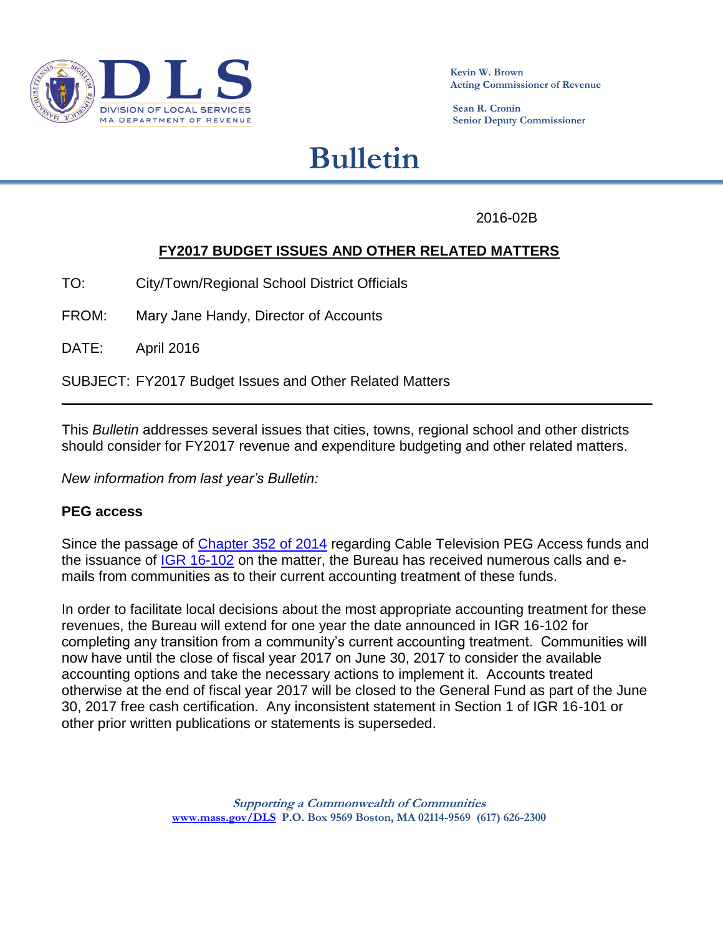

**Kevin W. Brown Acting Commissioner of Revenue**

 **Sean R. Cronin Senior Deputy Commissioner**

# **Bulletin**

2016-02B

# **FY2017 BUDGET ISSUES AND OTHER RELATED MATTERS**

TO: City/Town/Regional School District Officials

FROM: Mary Jane Handy, Director of Accounts

DATE: April 2016

SUBJECT: FY2017 Budget Issues and Other Related Matters

This *Bulletin* addresses several issues that cities, towns, regional school and other districts should consider for FY2017 revenue and expenditure budgeting and other related matters.

**\_\_\_\_\_\_\_\_\_\_\_\_\_\_\_\_\_\_\_\_\_\_\_\_\_\_\_\_\_\_\_\_\_\_\_\_\_\_\_\_\_\_\_\_\_\_\_\_\_\_\_\_\_\_\_\_\_\_\_\_\_\_\_\_\_\_\_\_\_\_\_\_\_\_\_**

*New information from last year's Bulletin:*

#### **PEG access**

Since the passage of [Chapter 352 of 2014](https://malegislature.gov/Laws/SessionLaws/Acts/2014/Chapter352) regarding Cable Television PEG Access funds and the issuance of [IGR 16-102](http://www.mass.gov/dor/docs/dls/publ/igr/2016/igr16-102.pdf) on the matter, the Bureau has received numerous calls and emails from communities as to their current accounting treatment of these funds.

In order to facilitate local decisions about the most appropriate accounting treatment for these revenues, the Bureau will extend for one year the date announced in IGR 16-102 for completing any transition from a community's current accounting treatment. Communities will now have until the close of fiscal year 2017 on June 30, 2017 to consider the available accounting options and take the necessary actions to implement it. Accounts treated otherwise at the end of fiscal year 2017 will be closed to the General Fund as part of the June 30, 2017 free cash certification. Any inconsistent statement in Section 1 of IGR 16-101 or other prior written publications or statements is superseded.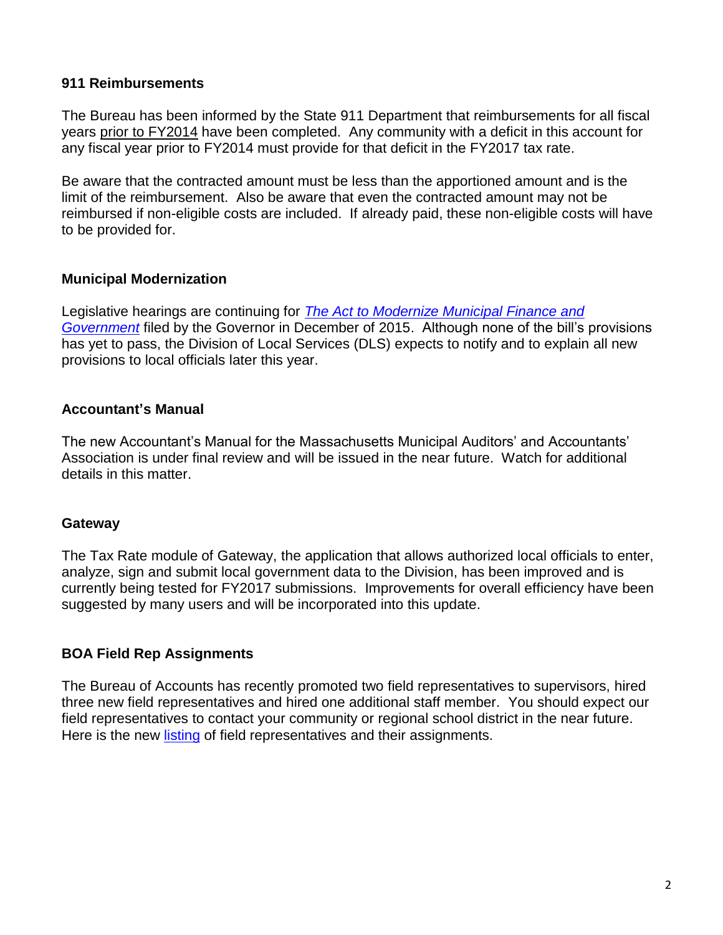#### **911 Reimbursements**

The Bureau has been informed by the State 911 Department that reimbursements for all fiscal years prior to FY2014 have been completed. Any community with a deficit in this account for any fiscal year prior to FY2014 must provide for that deficit in the FY2017 tax rate.

Be aware that the contracted amount must be less than the apportioned amount and is the limit of the reimbursement. Also be aware that even the contracted amount may not be reimbursed if non-eligible costs are included. If already paid, these non-eligible costs will have to be provided for.

#### **Municipal Modernization**

Legislative hearings are continuing for *[The Act to Modernize Municipal Finance and](http://www.mass.gov/governor/legislationexecorder/legislation/an-act-to-modernize-municipal-finance-and-government.html)  [Government](http://www.mass.gov/governor/legislationexecorder/legislation/an-act-to-modernize-municipal-finance-and-government.html)* filed by the Governor in December of 2015. Although none of the bill's provisions has yet to pass, the Division of Local Services (DLS) expects to notify and to explain all new provisions to local officials later this year.

#### **Accountant's Manual**

The new Accountant's Manual for the Massachusetts Municipal Auditors' and Accountants' Association is under final review and will be issued in the near future. Watch for additional details in this matter.

#### **Gateway**

The Tax Rate module of Gateway, the application that allows authorized local officials to enter, analyze, sign and submit local government data to the Division, has been improved and is currently being tested for FY2017 submissions. Improvements for overall efficiency have been suggested by many users and will be incorporated into this update.

## **BOA Field Rep Assignments**

The Bureau of Accounts has recently promoted two field representatives to supervisors, hired three new field representatives and hired one additional staff member. You should expect our field representatives to contact your community or regional school district in the near future. Here is the new [listing](https://dlsgateway.dor.state.ma.us/reports/rdPage.aspx?rdReport=Directory.directory_MAIN) of field representatives and their assignments.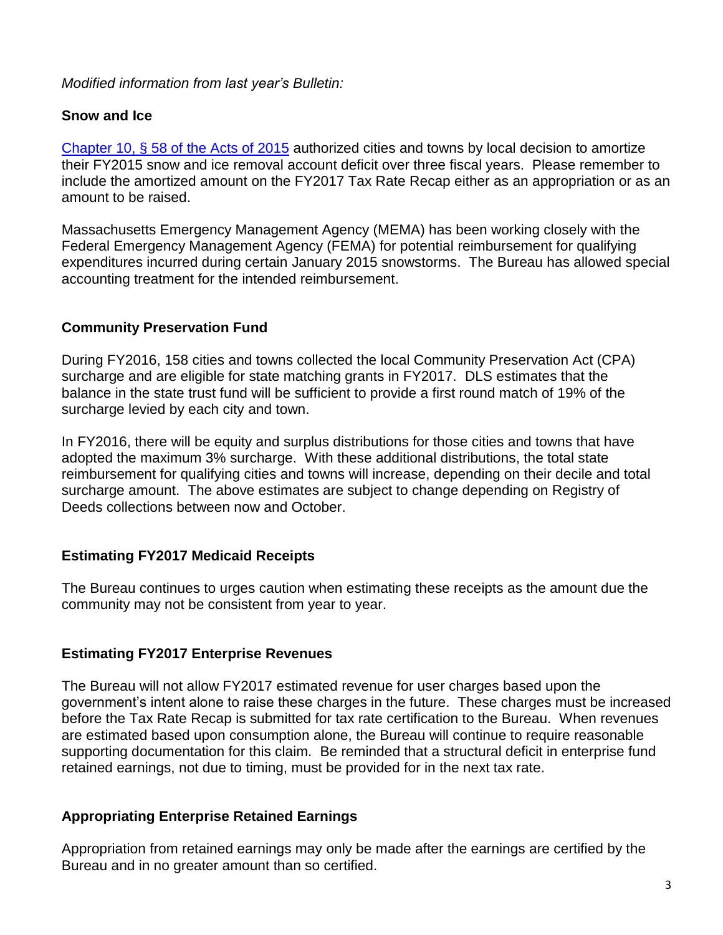*Modified information from last year's Bulletin:*

# **Snow and Ice**

[Chapter 10, § 58 of the Acts of 2015](https://malegislature.gov/Laws/SessionLaws/Acts/2015/Chapter10) authorized cities and towns by local decision to amortize their FY2015 snow and ice removal account deficit over three fiscal years. Please remember to include the amortized amount on the FY2017 Tax Rate Recap either as an appropriation or as an amount to be raised.

Massachusetts Emergency Management Agency (MEMA) has been working closely with the Federal Emergency Management Agency (FEMA) for potential reimbursement for qualifying expenditures incurred during certain January 2015 snowstorms. The Bureau has allowed special accounting treatment for the intended reimbursement.

# **Community Preservation Fund**

During FY2016, 158 cities and towns collected the local Community Preservation Act (CPA) surcharge and are eligible for state matching grants in FY2017. DLS estimates that the balance in the state trust fund will be sufficient to provide a first round match of 19% of the surcharge levied by each city and town.

In FY2016, there will be equity and surplus distributions for those cities and towns that have adopted the maximum 3% surcharge. With these additional distributions, the total state reimbursement for qualifying cities and towns will increase, depending on their decile and total surcharge amount. The above estimates are subject to change depending on Registry of Deeds collections between now and October.

# **Estimating FY2017 Medicaid Receipts**

The Bureau continues to urges caution when estimating these receipts as the amount due the community may not be consistent from year to year.

## **Estimating FY2017 Enterprise Revenues**

The Bureau will not allow FY2017 estimated revenue for user charges based upon the government's intent alone to raise these charges in the future. These charges must be increased before the Tax Rate Recap is submitted for tax rate certification to the Bureau. When revenues are estimated based upon consumption alone, the Bureau will continue to require reasonable supporting documentation for this claim. Be reminded that a structural deficit in enterprise fund retained earnings, not due to timing, must be provided for in the next tax rate.

# **Appropriating Enterprise Retained Earnings**

Appropriation from retained earnings may only be made after the earnings are certified by the Bureau and in no greater amount than so certified.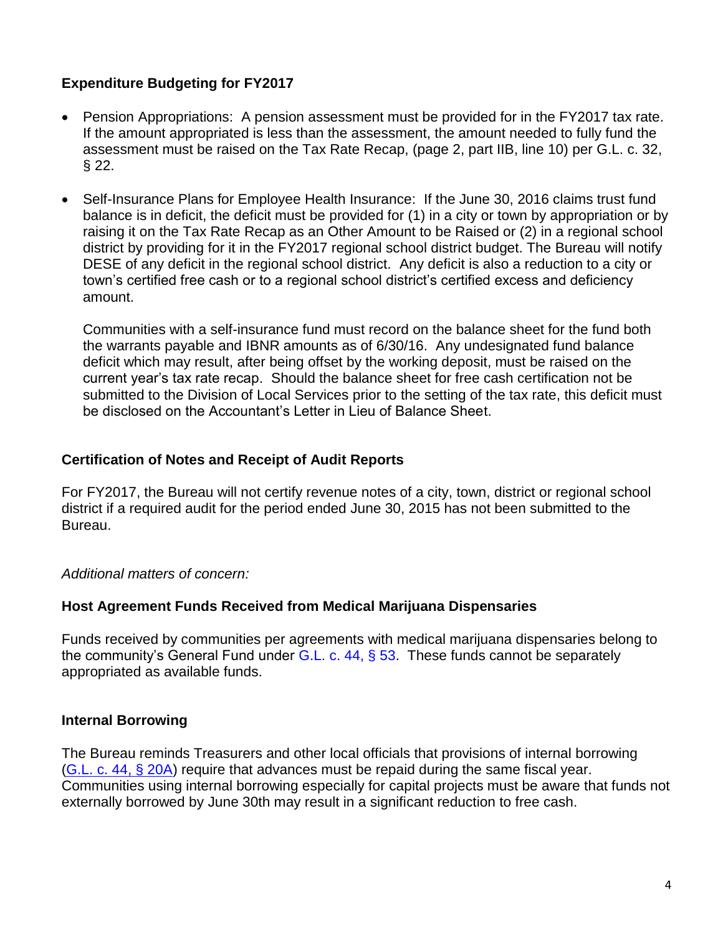# **Expenditure Budgeting for FY2017**

- Pension Appropriations: A pension assessment must be provided for in the FY2017 tax rate. If the amount appropriated is less than the assessment, the amount needed to fully fund the assessment must be raised on the Tax Rate Recap, (page 2, part IIB, line 10) per G.L. c. 32, § 22.
- Self-Insurance Plans for Employee Health Insurance: If the June 30, 2016 claims trust fund balance is in deficit, the deficit must be provided for (1) in a city or town by appropriation or by raising it on the Tax Rate Recap as an Other Amount to be Raised or (2) in a regional school district by providing for it in the FY2017 regional school district budget. The Bureau will notify DESE of any deficit in the regional school district. Any deficit is also a reduction to a city or town's certified free cash or to a regional school district's certified excess and deficiency amount.

Communities with a self-insurance fund must record on the balance sheet for the fund both the warrants payable and IBNR amounts as of 6/30/16. Any undesignated fund balance deficit which may result, after being offset by the working deposit, must be raised on the current year's tax rate recap. Should the balance sheet for free cash certification not be submitted to the Division of Local Services prior to the setting of the tax rate, this deficit must be disclosed on the Accountant's Letter in Lieu of Balance Sheet.

#### **Certification of Notes and Receipt of Audit Reports**

For FY2017, the Bureau will not certify revenue notes of a city, town, district or regional school district if a required audit for the period ended June 30, 2015 has not been submitted to the Bureau.

## *Additional matters of concern:*

## **Host Agreement Funds Received from Medical Marijuana Dispensaries**

Funds received by communities per agreements with medical marijuana dispensaries belong to the community's General Fund under G.L. c.  $44, \S 53$ . These funds cannot be separately appropriated as available funds.

## **Internal Borrowing**

The Bureau reminds Treasurers and other local officials that provisions of internal borrowing [\(G.L. c. 44, § 20A\)](https://malegislature.gov/Laws/GeneralLaws/PartI/TitleVII/Chapter44/Section20A) require that advances must be repaid during the same fiscal year. Communities using internal borrowing especially for capital projects must be aware that funds not externally borrowed by June 30th may result in a significant reduction to free cash.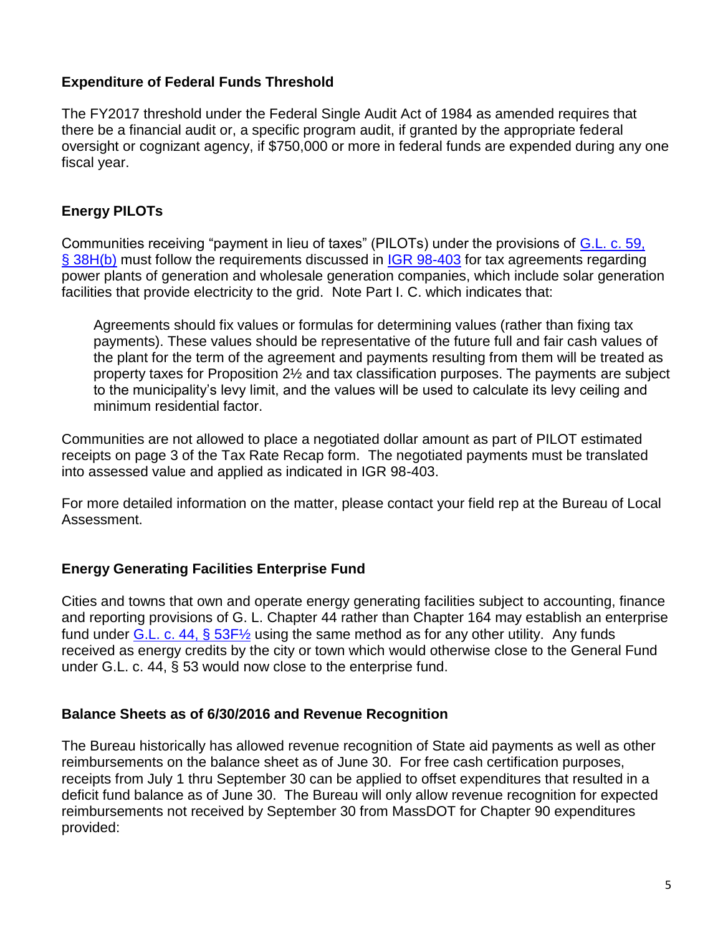# **Expenditure of Federal Funds Threshold**

The FY2017 threshold under the Federal Single Audit Act of 1984 as amended requires that there be a financial audit or, a specific program audit, if granted by the appropriate federal oversight or cognizant agency, if \$750,000 or more in federal funds are expended during any one fiscal year.

# **Energy PILOTs**

Communities receiving "payment in lieu of taxes" (PILOTs) under the provisions of [G.L. c. 59,](https://malegislature.gov/Laws/GeneralLaws/PartI/TitleIX/Chapter59/Section38H)  [§ 38H\(b\)](https://malegislature.gov/Laws/GeneralLaws/PartI/TitleIX/Chapter59/Section38H) must follow the requirements discussed in [IGR 98-403](http://www.mass.gov/dor/docs/dls/publ/igr/1998/98-403.pdf) for tax agreements regarding power plants of generation and wholesale generation companies, which include solar generation facilities that provide electricity to the grid. Note Part I. C. which indicates that:

Agreements should fix values or formulas for determining values (rather than fixing tax payments). These values should be representative of the future full and fair cash values of the plant for the term of the agreement and payments resulting from them will be treated as property taxes for Proposition 2½ and tax classification purposes. The payments are subject to the municipality's levy limit, and the values will be used to calculate its levy ceiling and minimum residential factor.

Communities are not allowed to place a negotiated dollar amount as part of PILOT estimated receipts on page 3 of the Tax Rate Recap form. The negotiated payments must be translated into assessed value and applied as indicated in IGR 98-403.

For more detailed information on the matter, please contact your field rep at the Bureau of Local Assessment.

## **Energy Generating Facilities Enterprise Fund**

Cities and towns that own and operate energy generating facilities subject to accounting, finance and reporting provisions of G. L. Chapter 44 rather than Chapter 164 may establish an enterprise fund under G.L. c. 44,  $\S 53F\frac{1}{2}$  using the same method as for any other utility. Any funds received as energy credits by the city or town which would otherwise close to the General Fund under G.L. c. 44, § 53 would now close to the enterprise fund.

## **Balance Sheets as of 6/30/2016 and Revenue Recognition**

The Bureau historically has allowed revenue recognition of State aid payments as well as other reimbursements on the balance sheet as of June 30. For free cash certification purposes, receipts from July 1 thru September 30 can be applied to offset expenditures that resulted in a deficit fund balance as of June 30. The Bureau will only allow revenue recognition for expected reimbursements not received by September 30 from MassDOT for Chapter 90 expenditures provided: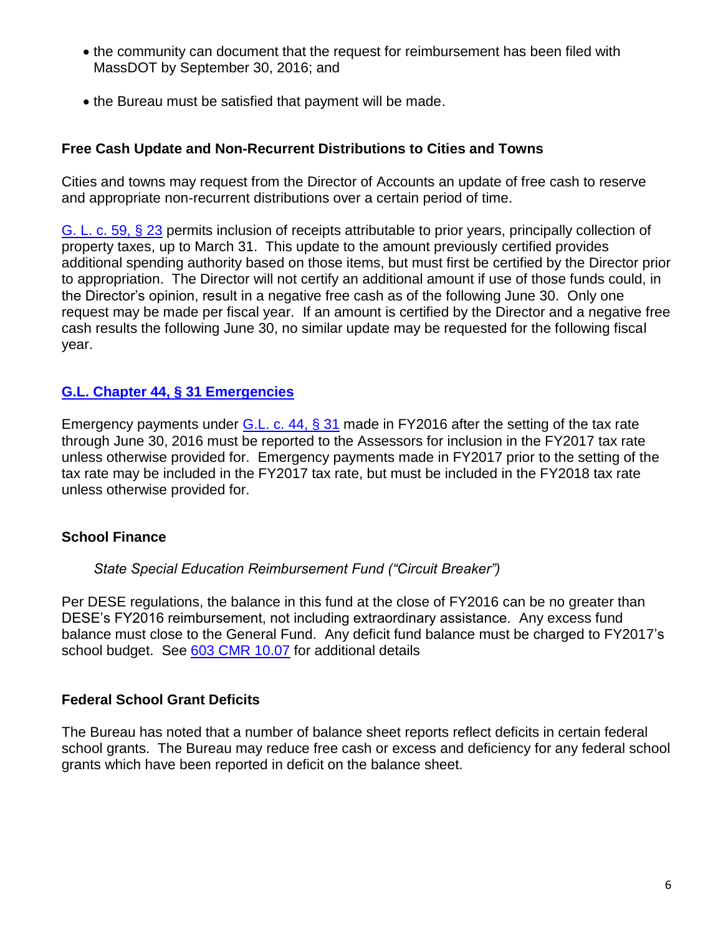- the community can document that the request for reimbursement has been filed with MassDOT by September 30, 2016; and
- the Bureau must be satisfied that payment will be made.

## **Free Cash Update and Non-Recurrent Distributions to Cities and Towns**

Cities and towns may request from the Director of Accounts an update of free cash to reserve and appropriate non-recurrent distributions over a certain period of time.

[G. L. c. 59, § 23](https://malegislature.gov/Laws/GeneralLaws/PartI/TitleIX/Chapter59/Section23) permits inclusion of receipts attributable to prior years, principally collection of property taxes, up to March 31. This update to the amount previously certified provides additional spending authority based on those items, but must first be certified by the Director prior to appropriation. The Director will not certify an additional amount if use of those funds could, in the Director's opinion, result in a negative free cash as of the following June 30. Only one request may be made per fiscal year. If an amount is certified by the Director and a negative free cash results the following June 30, no similar update may be requested for the following fiscal year.

## **[G.L. Chapter 44, § 31 Emergencies](http://www.mass.gov/dor/docs/dls/boa/debt/ch44sec31expendinexcessofapprop.pdf)**

Emergency payments under [G.L. c. 44, § 31](https://malegislature.gov/Laws/GeneralLaws/PartI/TitleVII/Chapter44/Section31) made in FY2016 after the setting of the tax rate through June 30, 2016 must be reported to the Assessors for inclusion in the FY2017 tax rate unless otherwise provided for. Emergency payments made in FY2017 prior to the setting of the tax rate may be included in the FY2017 tax rate, but must be included in the FY2018 tax rate unless otherwise provided for.

## **School Finance**

#### *State Special Education Reimbursement Fund ("Circuit Breaker")*

Per DESE regulations, the balance in this fund at the close of FY2016 can be no greater than DESE's FY2016 reimbursement, not including extraordinary assistance. Any excess fund balance must close to the General Fund. Any deficit fund balance must be charged to FY2017's school budget. See [603 CMR 10.07](http://www.doe.mass.edu/lawsregs/603cmr10.html?section=07) for additional details

#### **Federal School Grant Deficits**

The Bureau has noted that a number of balance sheet reports reflect deficits in certain federal school grants. The Bureau may reduce free cash or excess and deficiency for any federal school grants which have been reported in deficit on the balance sheet.